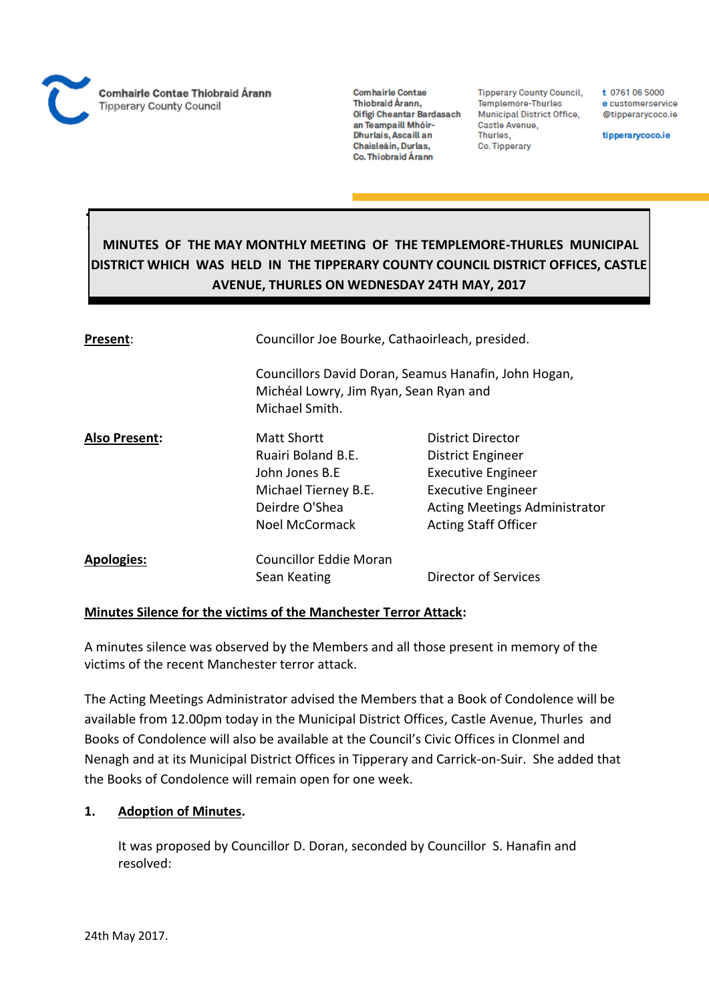

*Thurles*

**Comhairle Contae** Thiobraid Árann, Oifigi Cheantar Bardasach an Teampaill Mhóir-Dhurlais, Ascaill an Chaisleáin, Durlas, Co. Thiobraid Árann

**Tipperary County Council,** Templemore-Thurles Municipal District Office, Castle Avenue, Thurles, Co. Tipperary

t 0761 06 5000 e customerservice @tipperarycoco.ie

tipperarycoco.ie

# **MINUTES OF THE MAY MONTHLY MEETING OF THE TEMPLEMORE-THURLES MUNICIPAL DISTRICT WHICH WAS HELD IN THE TIPPERARY COUNTY COUNCIL DISTRICT OFFICES, CASTLE AVENUE, THURLES ON WEDNESDAY 24TH MAY, 2017**

| Present:             |                                                                                                                  | Councillor Joe Bourke, Cathaoirleach, presided.                                                                                                                         |  |
|----------------------|------------------------------------------------------------------------------------------------------------------|-------------------------------------------------------------------------------------------------------------------------------------------------------------------------|--|
|                      | Councillors David Doran, Seamus Hanafin, John Hogan,<br>Michéal Lowry, Jim Ryan, Sean Ryan and<br>Michael Smith. |                                                                                                                                                                         |  |
| <b>Also Present:</b> | Matt Shortt<br>Ruairi Boland B.E.<br>John Jones B.F<br>Michael Tierney B.E.<br>Deirdre O'Shea<br>Noel McCormack  | District Director<br>District Engineer<br><b>Executive Engineer</b><br><b>Executive Engineer</b><br><b>Acting Meetings Administrator</b><br><b>Acting Staff Officer</b> |  |
| <b>Apologies:</b>    | <b>Councillor Eddie Moran</b><br>Sean Keating                                                                    | Director of Services                                                                                                                                                    |  |

### **Minutes Silence for the victims of the Manchester Terror Attack:**

A minutes silence was observed by the Members and all those present in memory of the victims of the recent Manchester terror attack.

The Acting Meetings Administrator advised the Members that a Book of Condolence will be available from 12.00pm today in the Municipal District Offices, Castle Avenue, Thurles and Books of Condolence will also be available at the Council's Civic Offices in Clonmel and Nenagh and at its Municipal District Offices in Tipperary and Carrick-on-Suir. She added that the Books of Condolence will remain open for one week.

## **1. Adoption of Minutes.**

It was proposed by Councillor D. Doran, seconded by Councillor S. Hanafin and resolved: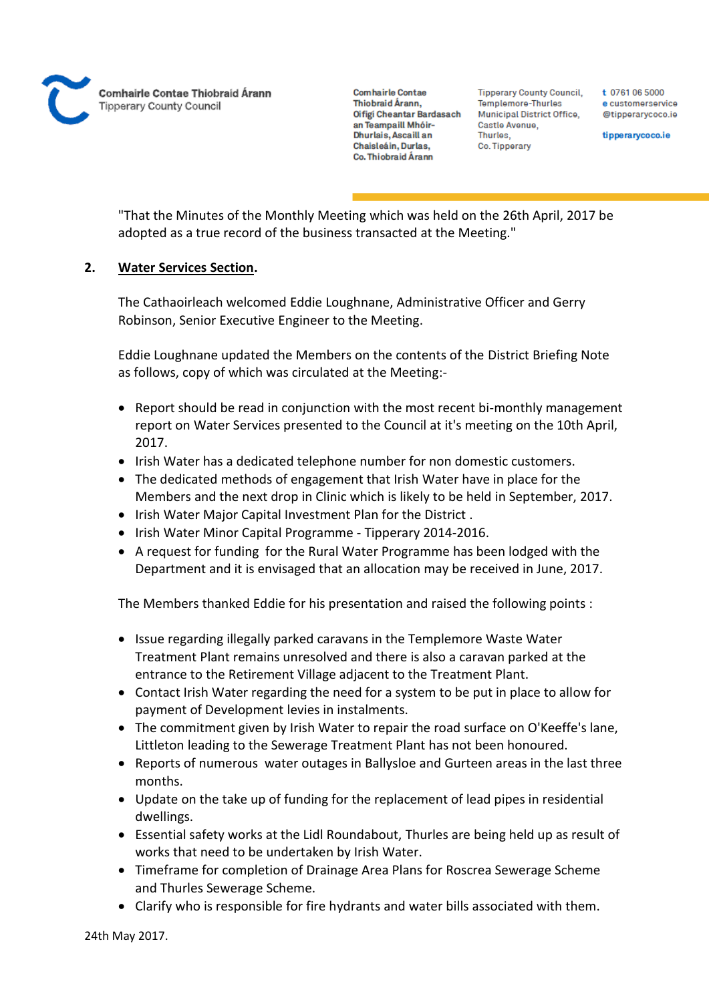**Comhairle Contae** Thiobraid Árann. Oifigi Cheantar Bardasach an Teampaill Mhóir-Dhurlais, Ascaill an Chaisleáin, Durlas, Co. Thiobraid Árann

**Tipperary County Council,** Templemore-Thurles Municipal District Office, Castle Avenue, Thurles, Co. Tipperary

t 0761 06 5000 e customerservice @tipperarycoco.ie

tipperarycoco.ie

"That the Minutes of the Monthly Meeting which was held on the 26th April, 2017 be adopted as a true record of the business transacted at the Meeting."

## **2. Water Services Section.**

The Cathaoirleach welcomed Eddie Loughnane, Administrative Officer and Gerry Robinson, Senior Executive Engineer to the Meeting.

Eddie Loughnane updated the Members on the contents of the District Briefing Note as follows, copy of which was circulated at the Meeting:-

- Report should be read in conjunction with the most recent bi-monthly management report on Water Services presented to the Council at it's meeting on the 10th April, 2017.
- Irish Water has a dedicated telephone number for non domestic customers.
- The dedicated methods of engagement that Irish Water have in place for the Members and the next drop in Clinic which is likely to be held in September, 2017.
- Irish Water Major Capital Investment Plan for the District.
- Irish Water Minor Capital Programme Tipperary 2014-2016.
- A request for funding for the Rural Water Programme has been lodged with the Department and it is envisaged that an allocation may be received in June, 2017.

The Members thanked Eddie for his presentation and raised the following points :

- Issue regarding illegally parked caravans in the Templemore Waste Water Treatment Plant remains unresolved and there is also a caravan parked at the entrance to the Retirement Village adjacent to the Treatment Plant.
- Contact Irish Water regarding the need for a system to be put in place to allow for payment of Development levies in instalments.
- The commitment given by Irish Water to repair the road surface on O'Keeffe's lane, Littleton leading to the Sewerage Treatment Plant has not been honoured.
- Reports of numerous water outages in Ballysloe and Gurteen areas in the last three months.
- Update on the take up of funding for the replacement of lead pipes in residential dwellings.
- Essential safety works at the Lidl Roundabout, Thurles are being held up as result of works that need to be undertaken by Irish Water.
- Timeframe for completion of Drainage Area Plans for Roscrea Sewerage Scheme and Thurles Sewerage Scheme.
- Clarify who is responsible for fire hydrants and water bills associated with them.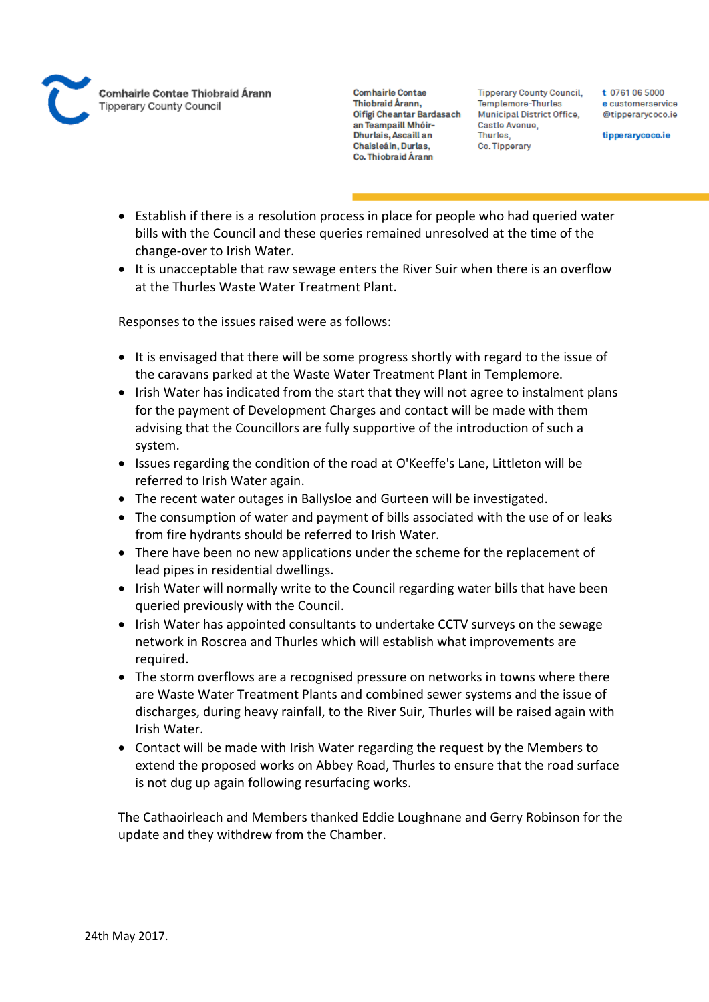

**Tipperary County Council,** Templemore-Thurles **Municipal District Office,** Castle Avenue, Thurles. Co. Tipperary

t 0761 06 5000 e customerservice @tipperarycoco.ie

tipperarycoco.ie

- Establish if there is a resolution process in place for people who had queried water bills with the Council and these queries remained unresolved at the time of the change-over to Irish Water.
- It is unacceptable that raw sewage enters the River Suir when there is an overflow at the Thurles Waste Water Treatment Plant.

Responses to the issues raised were as follows:

- It is envisaged that there will be some progress shortly with regard to the issue of the caravans parked at the Waste Water Treatment Plant in Templemore.
- Irish Water has indicated from the start that they will not agree to instalment plans for the payment of Development Charges and contact will be made with them advising that the Councillors are fully supportive of the introduction of such a system.
- Issues regarding the condition of the road at O'Keeffe's Lane, Littleton will be referred to Irish Water again.
- The recent water outages in Ballysloe and Gurteen will be investigated.
- The consumption of water and payment of bills associated with the use of or leaks from fire hydrants should be referred to Irish Water.
- There have been no new applications under the scheme for the replacement of lead pipes in residential dwellings.
- Irish Water will normally write to the Council regarding water bills that have been queried previously with the Council.
- Irish Water has appointed consultants to undertake CCTV surveys on the sewage network in Roscrea and Thurles which will establish what improvements are required.
- The storm overflows are a recognised pressure on networks in towns where there are Waste Water Treatment Plants and combined sewer systems and the issue of discharges, during heavy rainfall, to the River Suir, Thurles will be raised again with Irish Water.
- Contact will be made with Irish Water regarding the request by the Members to extend the proposed works on Abbey Road, Thurles to ensure that the road surface is not dug up again following resurfacing works.

The Cathaoirleach and Members thanked Eddie Loughnane and Gerry Robinson for the update and they withdrew from the Chamber.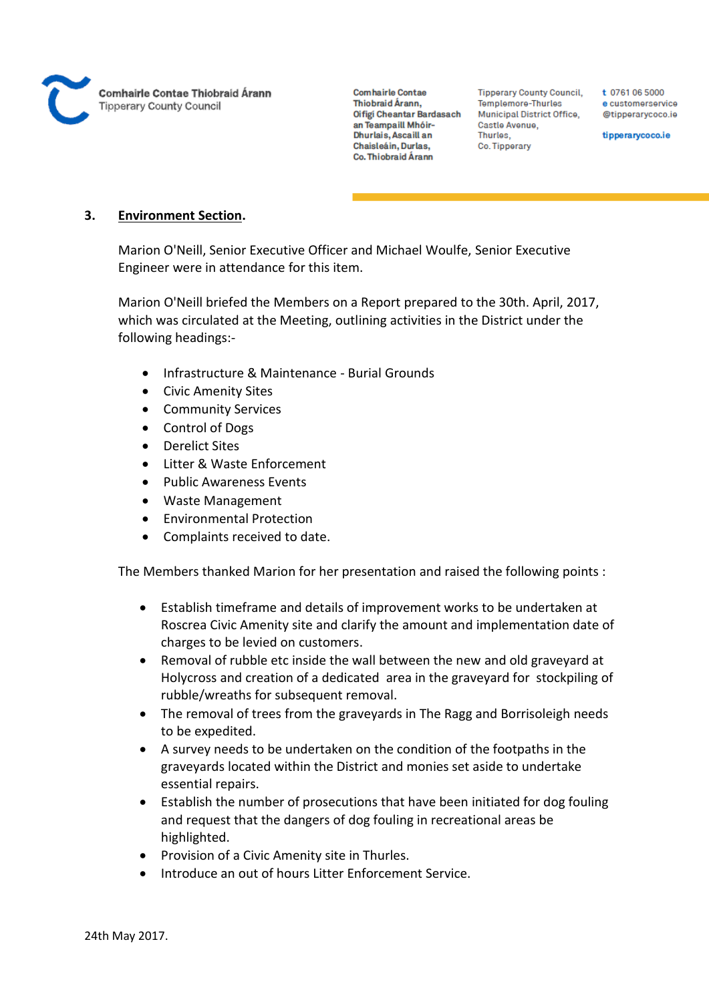

**Tipperary County Council,** Templemore-Thurles Municipal District Office, Castle Avenue, Thurles. Co. Tipperary

t 0761 06 5000 e customerservice @tipperarycoco.ie

tipperarycoco.ie

## **3. Environment Section.**

Marion O'Neill, Senior Executive Officer and Michael Woulfe, Senior Executive Engineer were in attendance for this item.

Marion O'Neill briefed the Members on a Report prepared to the 30th. April, 2017, which was circulated at the Meeting, outlining activities in the District under the following headings:-

- Infrastructure & Maintenance Burial Grounds
- Civic Amenity Sites
- **•** Community Services
- Control of Dogs
- Derelict Sites
- Litter & Waste Enforcement
- Public Awareness Events
- Waste Management
- Environmental Protection
- Complaints received to date.

The Members thanked Marion for her presentation and raised the following points :

- Establish timeframe and details of improvement works to be undertaken at Roscrea Civic Amenity site and clarify the amount and implementation date of charges to be levied on customers.
- Removal of rubble etc inside the wall between the new and old graveyard at Holycross and creation of a dedicated area in the graveyard for stockpiling of rubble/wreaths for subsequent removal.
- The removal of trees from the graveyards in The Ragg and Borrisoleigh needs to be expedited.
- A survey needs to be undertaken on the condition of the footpaths in the graveyards located within the District and monies set aside to undertake essential repairs.
- Establish the number of prosecutions that have been initiated for dog fouling and request that the dangers of dog fouling in recreational areas be highlighted.
- Provision of a Civic Amenity site in Thurles.
- Introduce an out of hours Litter Enforcement Service.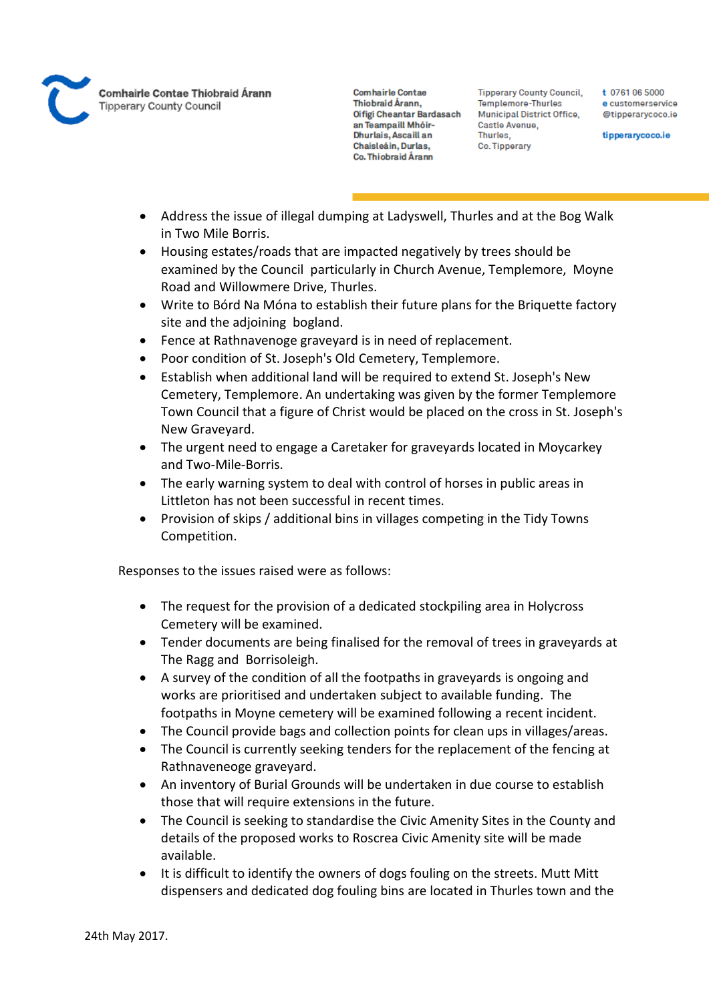

**Tipperary County Council,** Templemore-Thurles Municipal District Office, Castle Avenue, Thurles. Co. Tipperary

t 0761 06 5000 e customerservice @tipperarycoco.ie

tipperarycoco.ie

- Address the issue of illegal dumping at Ladyswell, Thurles and at the Bog Walk in Two Mile Borris.
- Housing estates/roads that are impacted negatively by trees should be examined by the Council particularly in Church Avenue, Templemore, Moyne Road and Willowmere Drive, Thurles.
- Write to Bórd Na Móna to establish their future plans for the Briquette factory site and the adjoining bogland.
- Fence at Rathnavenoge graveyard is in need of replacement.
- Poor condition of St. Joseph's Old Cemetery, Templemore.
- Establish when additional land will be required to extend St. Joseph's New Cemetery, Templemore. An undertaking was given by the former Templemore Town Council that a figure of Christ would be placed on the cross in St. Joseph's New Graveyard.
- The urgent need to engage a Caretaker for graveyards located in Moycarkey and Two-Mile-Borris.
- The early warning system to deal with control of horses in public areas in Littleton has not been successful in recent times.
- Provision of skips / additional bins in villages competing in the Tidy Towns Competition.

Responses to the issues raised were as follows:

- The request for the provision of a dedicated stockpiling area in Holycross Cemetery will be examined.
- Tender documents are being finalised for the removal of trees in graveyards at The Ragg and Borrisoleigh.
- A survey of the condition of all the footpaths in graveyards is ongoing and works are prioritised and undertaken subject to available funding. The footpaths in Moyne cemetery will be examined following a recent incident.
- The Council provide bags and collection points for clean ups in villages/areas.
- The Council is currently seeking tenders for the replacement of the fencing at Rathnaveneoge graveyard.
- An inventory of Burial Grounds will be undertaken in due course to establish those that will require extensions in the future.
- The Council is seeking to standardise the Civic Amenity Sites in the County and details of the proposed works to Roscrea Civic Amenity site will be made available.
- It is difficult to identify the owners of dogs fouling on the streets. Mutt Mitt dispensers and dedicated dog fouling bins are located in Thurles town and the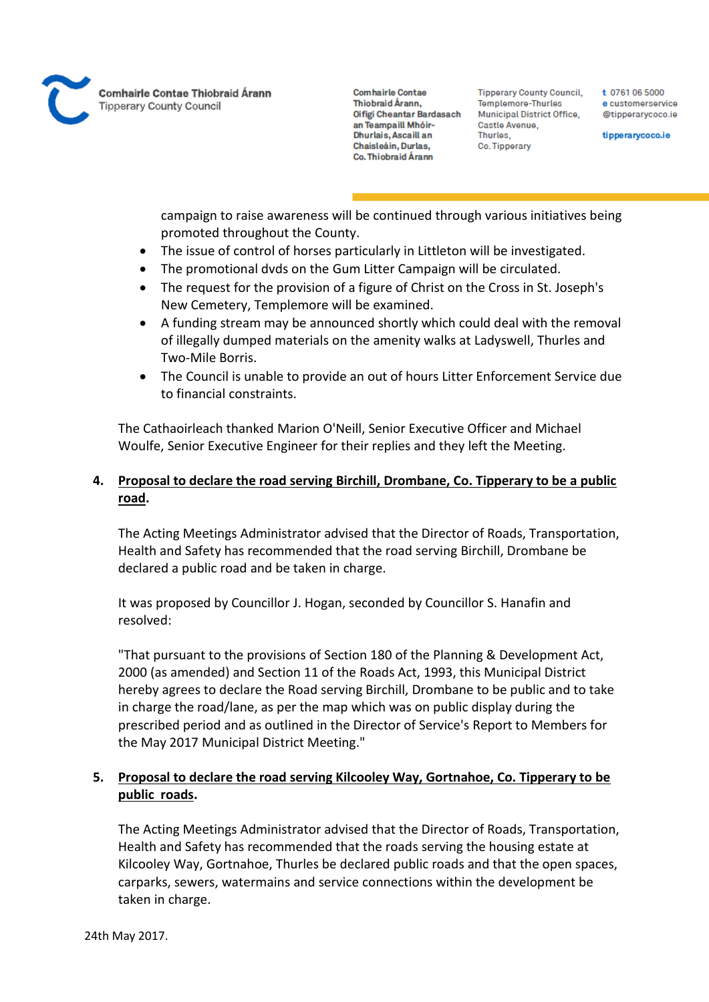

**Tipperary County Council,** Templemore-Thurles Municipal District Office, Castle Avenue, Thurles, Co. Tipperary

t 0761 06 5000 e customerservice @tipperarycoco.ie

tipperarycoco.ie

campaign to raise awareness will be continued through various initiatives being promoted throughout the County.

- The issue of control of horses particularly in Littleton will be investigated.
- The promotional dvds on the Gum Litter Campaign will be circulated.
- The request for the provision of a figure of Christ on the Cross in St. Joseph's New Cemetery, Templemore will be examined.
- A funding stream may be announced shortly which could deal with the removal of illegally dumped materials on the amenity walks at Ladyswell, Thurles and Two-Mile Borris.
- The Council is unable to provide an out of hours Litter Enforcement Service due to financial constraints.

The Cathaoirleach thanked Marion O'Neill, Senior Executive Officer and Michael Woulfe, Senior Executive Engineer for their replies and they left the Meeting.

## **4. Proposal to declare the road serving Birchill, Drombane, Co. Tipperary to be a public road.**

The Acting Meetings Administrator advised that the Director of Roads, Transportation, Health and Safety has recommended that the road serving Birchill, Drombane be declared a public road and be taken in charge.

It was proposed by Councillor J. Hogan, seconded by Councillor S. Hanafin and resolved:

"That pursuant to the provisions of Section 180 of the Planning & Development Act, 2000 (as amended) and Section 11 of the Roads Act, 1993, this Municipal District hereby agrees to declare the Road serving Birchill, Drombane to be public and to take in charge the road/lane, as per the map which was on public display during the prescribed period and as outlined in the Director of Service's Report to Members for the May 2017 Municipal District Meeting."

## **5. Proposal to declare the road serving Kilcooley Way, Gortnahoe, Co. Tipperary to be public roads.**

The Acting Meetings Administrator advised that the Director of Roads, Transportation, Health and Safety has recommended that the roads serving the housing estate at Kilcooley Way, Gortnahoe, Thurles be declared public roads and that the open spaces, carparks, sewers, watermains and service connections within the development be taken in charge.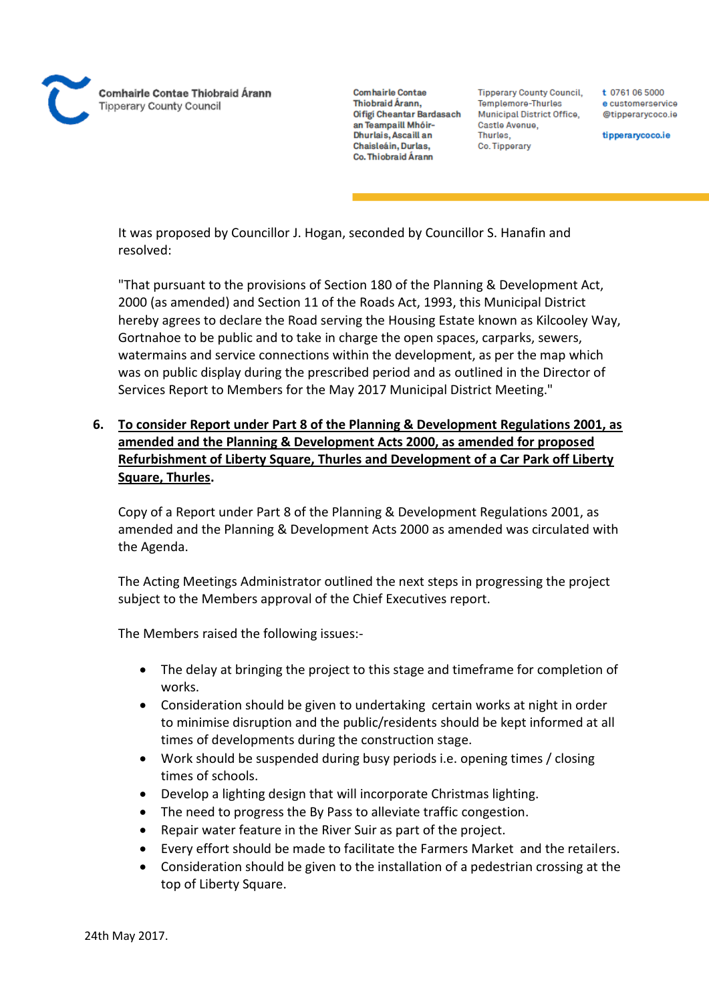

**Tipperary County Council,** Templemore-Thurles Municipal District Office, Castle Avenue, Thurles. Co. Tipperary

t 0761 06 5000 e customerservice @tipperarvcoco.ie

tipperarycoco.ie

It was proposed by Councillor J. Hogan, seconded by Councillor S. Hanafin and resolved:

"That pursuant to the provisions of Section 180 of the Planning & Development Act, 2000 (as amended) and Section 11 of the Roads Act, 1993, this Municipal District hereby agrees to declare the Road serving the Housing Estate known as Kilcooley Way, Gortnahoe to be public and to take in charge the open spaces, carparks, sewers, watermains and service connections within the development, as per the map which was on public display during the prescribed period and as outlined in the Director of Services Report to Members for the May 2017 Municipal District Meeting."

**6. To consider Report under Part 8 of the Planning & Development Regulations 2001, as amended and the Planning & Development Acts 2000, as amended for proposed Refurbishment of Liberty Square, Thurles and Development of a Car Park off Liberty Square, Thurles.**

Copy of a Report under Part 8 of the Planning & Development Regulations 2001, as amended and the Planning & Development Acts 2000 as amended was circulated with the Agenda.

The Acting Meetings Administrator outlined the next steps in progressing the project subject to the Members approval of the Chief Executives report.

The Members raised the following issues:-

- The delay at bringing the project to this stage and timeframe for completion of works.
- Consideration should be given to undertaking certain works at night in order to minimise disruption and the public/residents should be kept informed at all times of developments during the construction stage.
- Work should be suspended during busy periods i.e. opening times / closing times of schools.
- Develop a lighting design that will incorporate Christmas lighting.
- The need to progress the By Pass to alleviate traffic congestion.
- Repair water feature in the River Suir as part of the project.
- Every effort should be made to facilitate the Farmers Market and the retailers.
- Consideration should be given to the installation of a pedestrian crossing at the top of Liberty Square.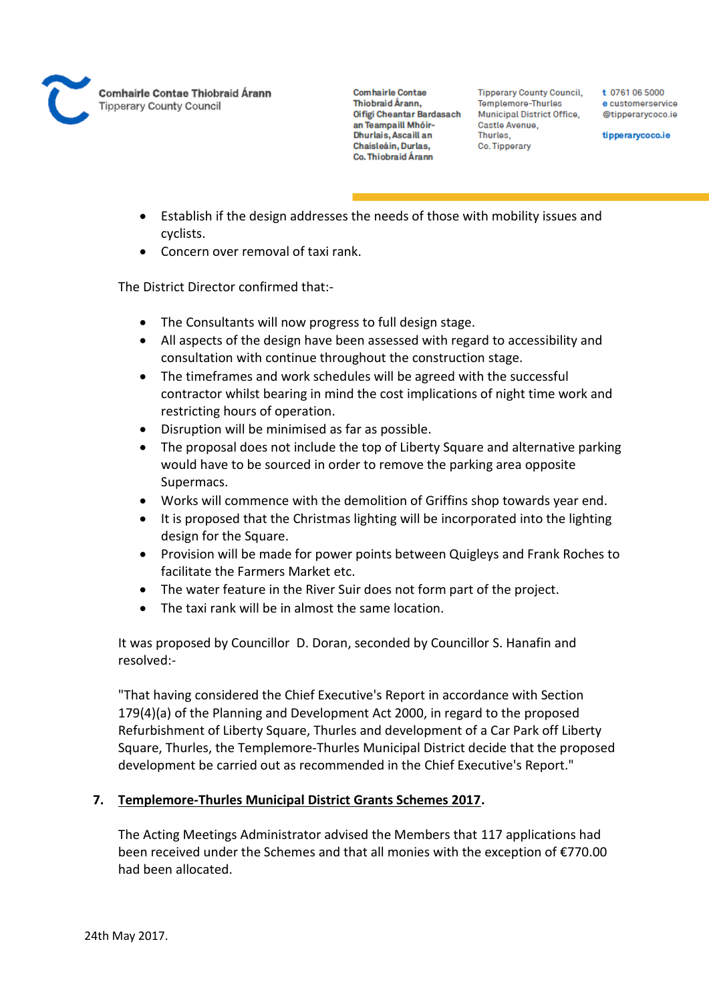

**Tipperary County Council,** Templemore-Thurles Municipal District Office, Castle Avenue, Thurles, Co. Tipperary

t 0761 06 5000 e customerservice @tipperarycoco.ie

tipperarycoco.ie

- Establish if the design addresses the needs of those with mobility issues and cyclists.
- Concern over removal of taxi rank.

The District Director confirmed that:-

- The Consultants will now progress to full design stage.
- All aspects of the design have been assessed with regard to accessibility and consultation with continue throughout the construction stage.
- The timeframes and work schedules will be agreed with the successful contractor whilst bearing in mind the cost implications of night time work and restricting hours of operation.
- Disruption will be minimised as far as possible.
- The proposal does not include the top of Liberty Square and alternative parking would have to be sourced in order to remove the parking area opposite Supermacs.
- Works will commence with the demolition of Griffins shop towards year end.
- It is proposed that the Christmas lighting will be incorporated into the lighting design for the Square.
- Provision will be made for power points between Quigleys and Frank Roches to facilitate the Farmers Market etc.
- The water feature in the River Suir does not form part of the project.
- The taxi rank will be in almost the same location.

It was proposed by Councillor D. Doran, seconded by Councillor S. Hanafin and resolved:-

"That having considered the Chief Executive's Report in accordance with Section 179(4)(a) of the Planning and Development Act 2000, in regard to the proposed Refurbishment of Liberty Square, Thurles and development of a Car Park off Liberty Square, Thurles, the Templemore-Thurles Municipal District decide that the proposed development be carried out as recommended in the Chief Executive's Report."

### **7. Templemore-Thurles Municipal District Grants Schemes 2017.**

The Acting Meetings Administrator advised the Members that 117 applications had been received under the Schemes and that all monies with the exception of €770.00 had been allocated.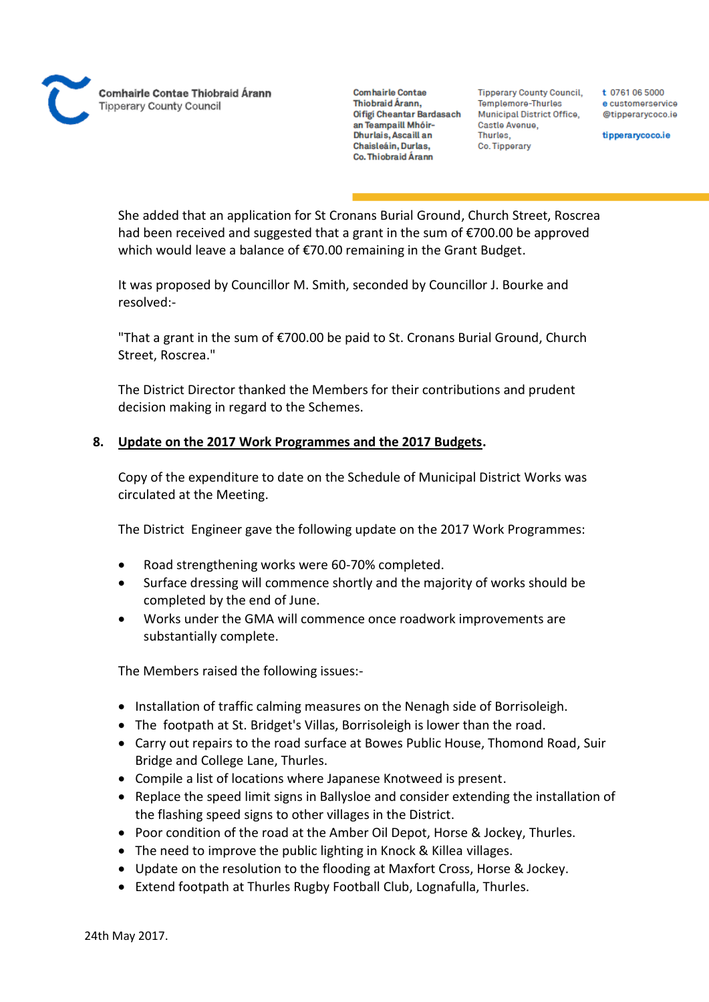**Comhairle Contae** Thiobraid Árann. Oifigi Cheantar Bardasach an Teampaill Mhóir-Dhurlais, Ascaill an Chaisleáin, Durlas, Co. Thiobraid Árann

**Tipperary County Council,** Templemore-Thurles **Municipal District Office,** Castle Avenue, Thurles, Co. Tipperary

t 0761 06 5000 e customerservice @tipperarvcoco.ie

tipperarycoco.ie

She added that an application for St Cronans Burial Ground, Church Street, Roscrea had been received and suggested that a grant in the sum of €700.00 be approved which would leave a balance of €70.00 remaining in the Grant Budget.

It was proposed by Councillor M. Smith, seconded by Councillor J. Bourke and resolved:-

"That a grant in the sum of €700.00 be paid to St. Cronans Burial Ground, Church Street, Roscrea."

The District Director thanked the Members for their contributions and prudent decision making in regard to the Schemes.

## **8. Update on the 2017 Work Programmes and the 2017 Budgets.**

Copy of the expenditure to date on the Schedule of Municipal District Works was circulated at the Meeting.

The District Engineer gave the following update on the 2017 Work Programmes:

- Road strengthening works were 60-70% completed.
- Surface dressing will commence shortly and the majority of works should be completed by the end of June.
- Works under the GMA will commence once roadwork improvements are substantially complete.

The Members raised the following issues:-

- Installation of traffic calming measures on the Nenagh side of Borrisoleigh.
- The footpath at St. Bridget's Villas, Borrisoleigh is lower than the road.
- Carry out repairs to the road surface at Bowes Public House, Thomond Road, Suir Bridge and College Lane, Thurles.
- Compile a list of locations where Japanese Knotweed is present.
- Replace the speed limit signs in Ballysloe and consider extending the installation of the flashing speed signs to other villages in the District.
- Poor condition of the road at the Amber Oil Depot, Horse & Jockey, Thurles.
- The need to improve the public lighting in Knock & Killea villages.
- Update on the resolution to the flooding at Maxfort Cross, Horse & Jockey.
- Extend footpath at Thurles Rugby Football Club, Lognafulla, Thurles.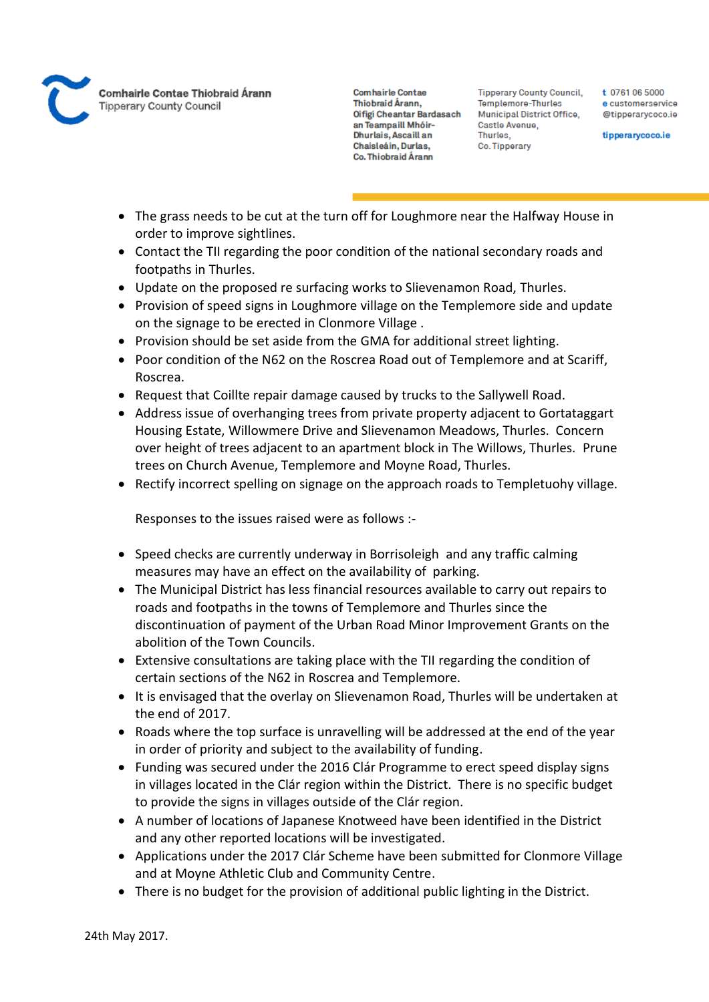

**Tipperary County Council,** Templemore-Thurles Municipal District Office, Castle Avenue, Thurles, Co. Tipperary

t 0761 06 5000 e customerservice @tipperarycoco.ie

tipperarycoco.ie

- The grass needs to be cut at the turn off for Loughmore near the Halfway House in order to improve sightlines.
- Contact the TII regarding the poor condition of the national secondary roads and footpaths in Thurles.
- Update on the proposed re surfacing works to Slievenamon Road, Thurles.
- Provision of speed signs in Loughmore village on the Templemore side and update on the signage to be erected in Clonmore Village .
- Provision should be set aside from the GMA for additional street lighting.
- Poor condition of the N62 on the Roscrea Road out of Templemore and at Scariff, Roscrea.
- Request that Coillte repair damage caused by trucks to the Sallywell Road.
- Address issue of overhanging trees from private property adjacent to Gortataggart Housing Estate, Willowmere Drive and Slievenamon Meadows, Thurles. Concern over height of trees adjacent to an apartment block in The Willows, Thurles. Prune trees on Church Avenue, Templemore and Moyne Road, Thurles.
- Rectify incorrect spelling on signage on the approach roads to Templetuohy village.

Responses to the issues raised were as follows :-

- Speed checks are currently underway in Borrisoleigh and any traffic calming measures may have an effect on the availability of parking.
- The Municipal District has less financial resources available to carry out repairs to roads and footpaths in the towns of Templemore and Thurles since the discontinuation of payment of the Urban Road Minor Improvement Grants on the abolition of the Town Councils.
- Extensive consultations are taking place with the TII regarding the condition of certain sections of the N62 in Roscrea and Templemore.
- It is envisaged that the overlay on Slievenamon Road, Thurles will be undertaken at the end of 2017.
- Roads where the top surface is unravelling will be addressed at the end of the year in order of priority and subject to the availability of funding.
- Funding was secured under the 2016 Clár Programme to erect speed display signs in villages located in the Clár region within the District. There is no specific budget to provide the signs in villages outside of the Clár region.
- A number of locations of Japanese Knotweed have been identified in the District and any other reported locations will be investigated.
- Applications under the 2017 Clár Scheme have been submitted for Clonmore Village and at Moyne Athletic Club and Community Centre.
- There is no budget for the provision of additional public lighting in the District.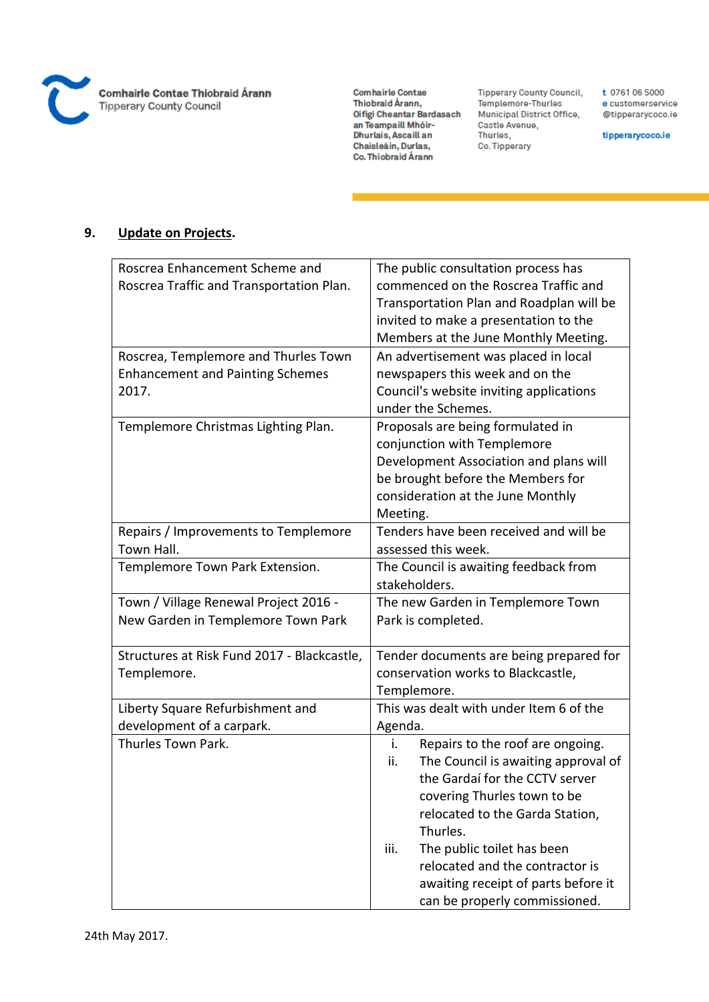

**Tipperary County Council,** Templemore-Thurles Municipal District Office, Castle Avenue, Thurles, Co. Tipperary

t 0761 06 5000 e customerservice @tipperarycoco.ie

tipperarycoco.ie

## **9. Update on Projects.**

| Roscrea Enhancement Scheme and<br>The public consultation process has                  |  |  |
|----------------------------------------------------------------------------------------|--|--|
| commenced on the Roscrea Traffic and<br>Roscrea Traffic and Transportation Plan.       |  |  |
| Transportation Plan and Roadplan will be                                               |  |  |
| invited to make a presentation to the                                                  |  |  |
| Members at the June Monthly Meeting.                                                   |  |  |
| An advertisement was placed in local<br>Roscrea, Templemore and Thurles Town           |  |  |
| <b>Enhancement and Painting Schemes</b><br>newspapers this week and on the             |  |  |
| 2017.<br>Council's website inviting applications                                       |  |  |
| under the Schemes.                                                                     |  |  |
| Templemore Christmas Lighting Plan.<br>Proposals are being formulated in               |  |  |
| conjunction with Templemore                                                            |  |  |
| Development Association and plans will                                                 |  |  |
| be brought before the Members for                                                      |  |  |
| consideration at the June Monthly                                                      |  |  |
| Meeting.                                                                               |  |  |
| Tenders have been received and will be<br>Repairs / Improvements to Templemore         |  |  |
| Town Hall.<br>assessed this week.                                                      |  |  |
| Templemore Town Park Extension.<br>The Council is awaiting feedback from               |  |  |
| stakeholders.                                                                          |  |  |
| Town / Village Renewal Project 2016 -<br>The new Garden in Templemore Town             |  |  |
| New Garden in Templemore Town Park<br>Park is completed.                               |  |  |
|                                                                                        |  |  |
| Structures at Risk Fund 2017 - Blackcastle,<br>Tender documents are being prepared for |  |  |
| conservation works to Blackcastle,<br>Templemore.                                      |  |  |
| Templemore.                                                                            |  |  |
| This was dealt with under Item 6 of the<br>Liberty Square Refurbishment and            |  |  |
| development of a carpark.<br>Agenda.                                                   |  |  |
| Thurles Town Park.<br>Repairs to the roof are ongoing.<br>i.                           |  |  |
| The Council is awaiting approval of<br>ii.                                             |  |  |
| the Gardaí for the CCTV server                                                         |  |  |
| covering Thurles town to be                                                            |  |  |
| relocated to the Garda Station,                                                        |  |  |
| Thurles.                                                                               |  |  |
| The public toilet has been<br>iii.                                                     |  |  |
| relocated and the contractor is                                                        |  |  |
| awaiting receipt of parts before it                                                    |  |  |
| can be properly commissioned.                                                          |  |  |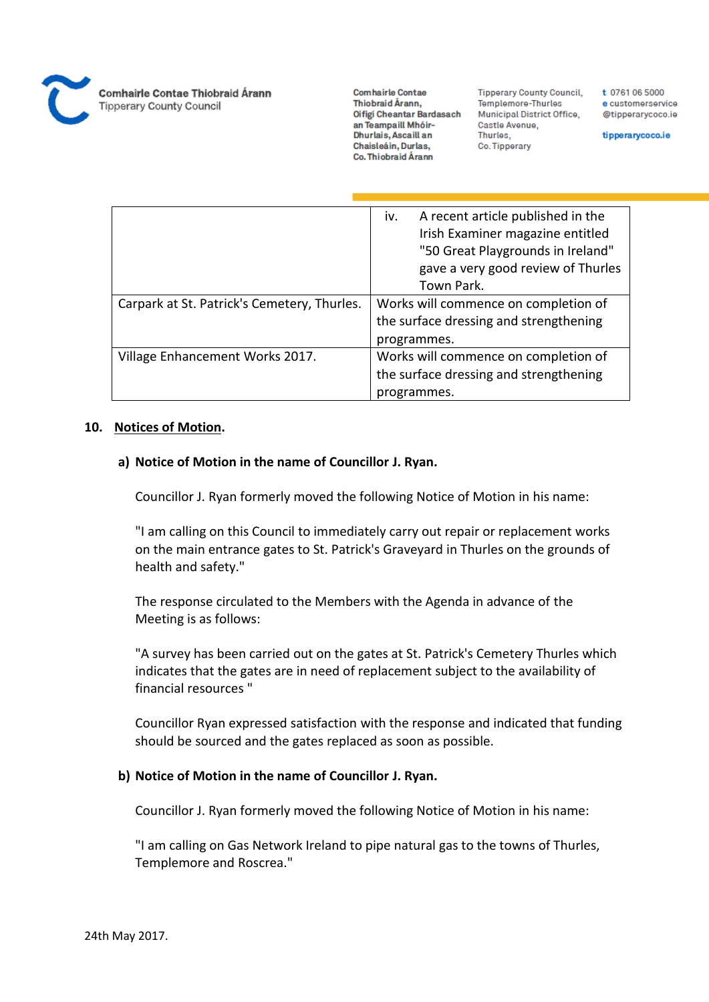

**Comhairle Contae** Thiobraid Árann, Oifigi Cheantar Bardasach an Teampaill Mhóir-Dhurlais, Ascaill an Chaisleáin, Durlas, Co. Thiobraid Árann

**Tipperary County Council,** Templemore-Thurles Municipal District Office, Castle Avenue, Thurles, Co. Tipperary

t 0761 06 5000 e customerservice @tipperarycoco.ie

tipperarycoco.ie

|                                             | iv.<br>A recent article published in the |
|---------------------------------------------|------------------------------------------|
|                                             | Irish Examiner magazine entitled         |
|                                             | "50 Great Playgrounds in Ireland"        |
|                                             | gave a very good review of Thurles       |
|                                             | Town Park.                               |
| Carpark at St. Patrick's Cemetery, Thurles. | Works will commence on completion of     |
|                                             | the surface dressing and strengthening   |
|                                             | programmes.                              |
| Village Enhancement Works 2017.             | Works will commence on completion of     |
|                                             | the surface dressing and strengthening   |
|                                             | programmes.                              |

#### **10. Notices of Motion.**

#### **a) Notice of Motion in the name of Councillor J. Ryan.**

Councillor J. Ryan formerly moved the following Notice of Motion in his name:

"I am calling on this Council to immediately carry out repair or replacement works on the main entrance gates to St. Patrick's Graveyard in Thurles on the grounds of health and safety."

The response circulated to the Members with the Agenda in advance of the Meeting is as follows:

"A survey has been carried out on the gates at St. Patrick's Cemetery Thurles which indicates that the gates are in need of replacement subject to the availability of financial resources "

Councillor Ryan expressed satisfaction with the response and indicated that funding should be sourced and the gates replaced as soon as possible.

#### **b) Notice of Motion in the name of Councillor J. Ryan.**

Councillor J. Ryan formerly moved the following Notice of Motion in his name:

"I am calling on Gas Network Ireland to pipe natural gas to the towns of Thurles, Templemore and Roscrea."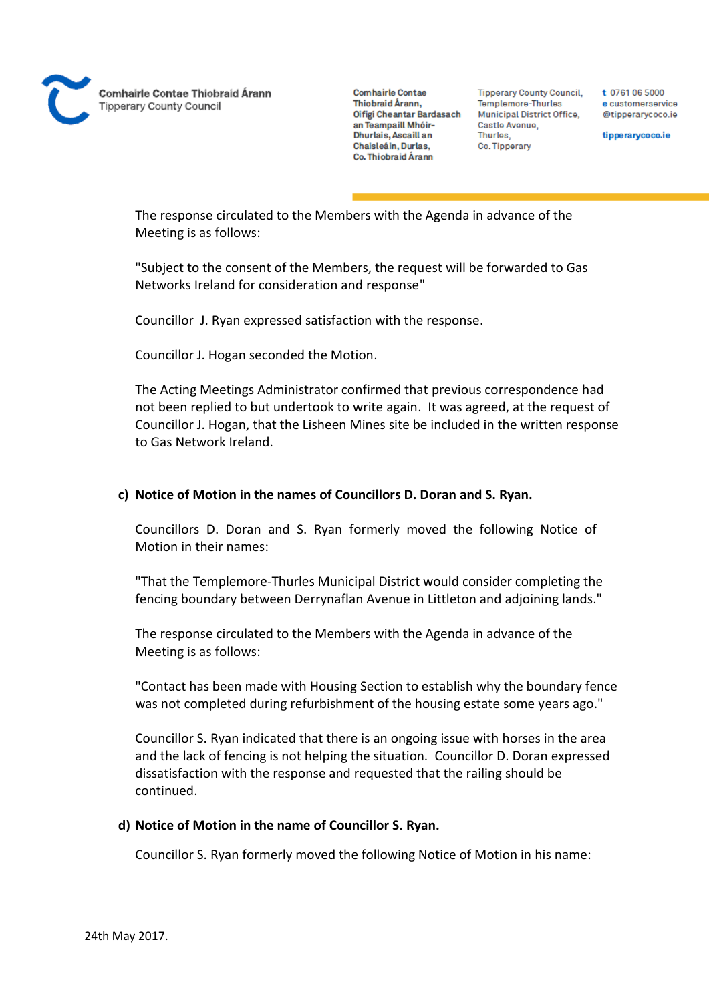

**Tipperary County Council,** Templemore-Thurles **Municipal District Office,** Castle Avenue, Thurles, Co. Tipperary

t 0761 06 5000 e customerservice @tipperarycoco.ie

tipperarycoco.ie

The response circulated to the Members with the Agenda in advance of the Meeting is as follows:

"Subject to the consent of the Members, the request will be forwarded to Gas Networks Ireland for consideration and response"

Councillor J. Ryan expressed satisfaction with the response.

Councillor J. Hogan seconded the Motion.

The Acting Meetings Administrator confirmed that previous correspondence had not been replied to but undertook to write again. It was agreed, at the request of Councillor J. Hogan, that the Lisheen Mines site be included in the written response to Gas Network Ireland.

#### **c) Notice of Motion in the names of Councillors D. Doran and S. Ryan.**

Councillors D. Doran and S. Ryan formerly moved the following Notice of Motion in their names:

"That the Templemore-Thurles Municipal District would consider completing the fencing boundary between Derrynaflan Avenue in Littleton and adjoining lands."

The response circulated to the Members with the Agenda in advance of the Meeting is as follows:

"Contact has been made with Housing Section to establish why the boundary fence was not completed during refurbishment of the housing estate some years ago."

Councillor S. Ryan indicated that there is an ongoing issue with horses in the area and the lack of fencing is not helping the situation. Councillor D. Doran expressed dissatisfaction with the response and requested that the railing should be continued.

#### **d) Notice of Motion in the name of Councillor S. Ryan.**

Councillor S. Ryan formerly moved the following Notice of Motion in his name: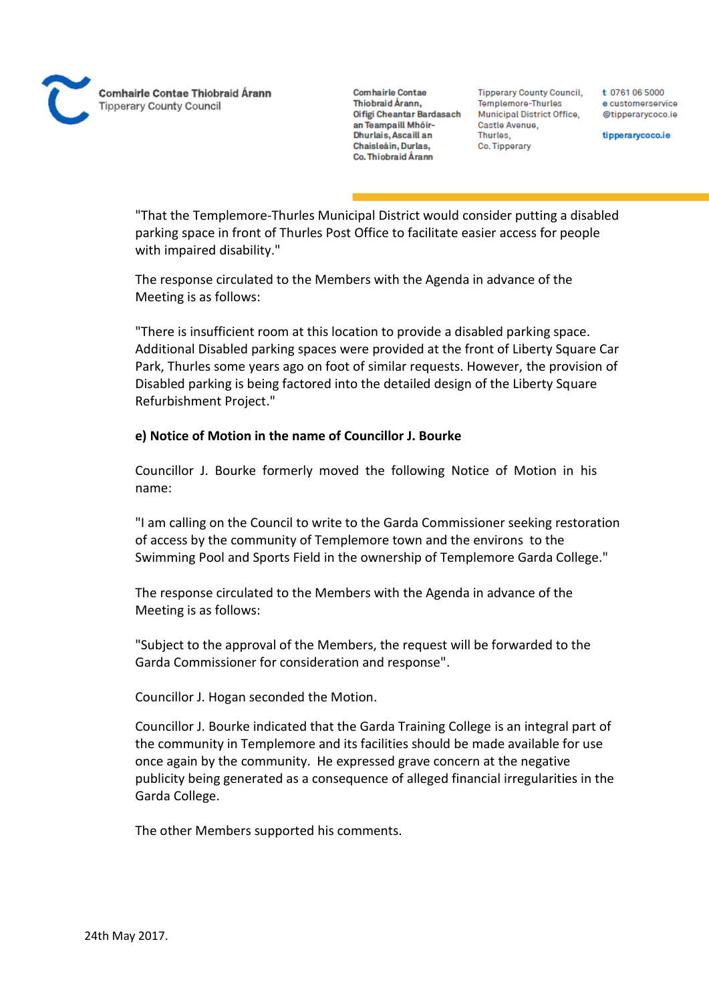**Comhairle Contae** Thiobraid Árann. Oifigi Cheantar Bardasach an Teampaill Mhóir-Dhurlais, Ascaill an Chaisleáin, Durlas, Co. Thiobraid Árann

**Tipperary County Council,** Templemore-Thurles **Municipal District Office,** Castle Avenue, Thurles. Co. Tipperary

t 0761 06 5000 e customerservice @tipperarycoco.ie

tipperarycoco.ie

"That the Templemore-Thurles Municipal District would consider putting a disabled parking space in front of Thurles Post Office to facilitate easier access for people with impaired disability."

The response circulated to the Members with the Agenda in advance of the Meeting is as follows:

"There is insufficient room at this location to provide a disabled parking space. Additional Disabled parking spaces were provided at the front of Liberty Square Car Park, Thurles some years ago on foot of similar requests. However, the provision of Disabled parking is being factored into the detailed design of the Liberty Square Refurbishment Project."

## **e) Notice of Motion in the name of Councillor J. Bourke**

Councillor J. Bourke formerly moved the following Notice of Motion in his name:

"I am calling on the Council to write to the Garda Commissioner seeking restoration of access by the community of Templemore town and the environs to the Swimming Pool and Sports Field in the ownership of Templemore Garda College."

The response circulated to the Members with the Agenda in advance of the Meeting is as follows:

"Subject to the approval of the Members, the request will be forwarded to the Garda Commissioner for consideration and response".

Councillor J. Hogan seconded the Motion.

Councillor J. Bourke indicated that the Garda Training College is an integral part of the community in Templemore and its facilities should be made available for use once again by the community. He expressed grave concern at the negative publicity being generated as a consequence of alleged financial irregularities in the Garda College.

The other Members supported his comments.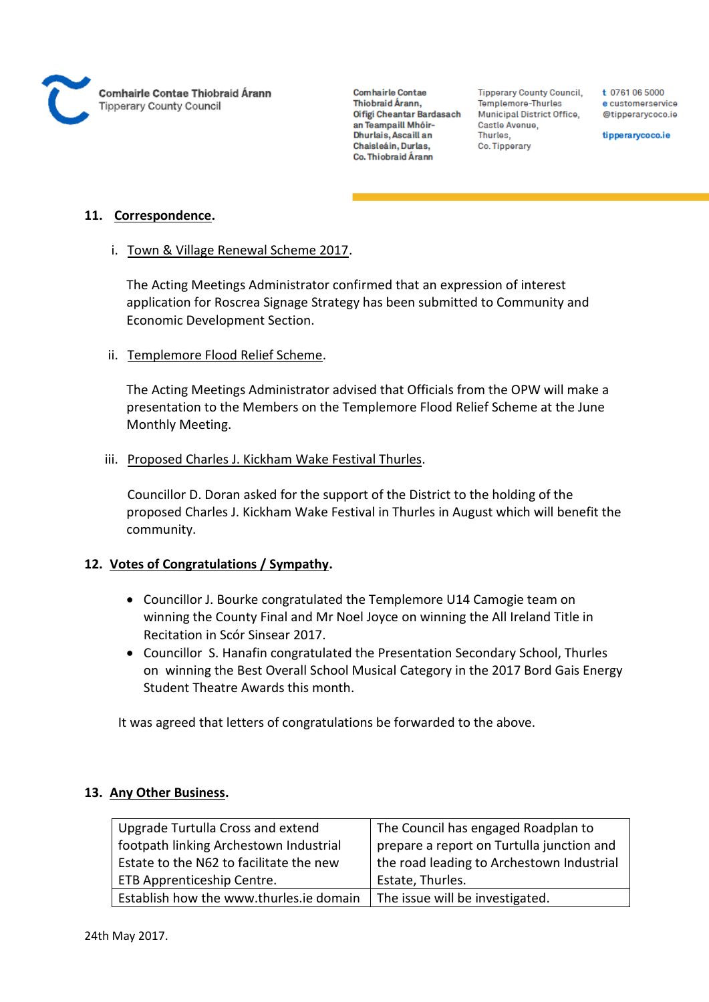

**Tipperary County Council,** Templemore-Thurles Municipal District Office, Castle Avenue, Thurles, Co. Tipperary

t 0761 06 5000 e customerservice @tipperarycoco.ie

tipperarycoco.ie

## **11. Correspondence.**

#### i. Town & Village Renewal Scheme 2017.

The Acting Meetings Administrator confirmed that an expression of interest application for Roscrea Signage Strategy has been submitted to Community and Economic Development Section.

#### ii. Templemore Flood Relief Scheme.

The Acting Meetings Administrator advised that Officials from the OPW will make a presentation to the Members on the Templemore Flood Relief Scheme at the June Monthly Meeting.

#### iii. Proposed Charles J. Kickham Wake Festival Thurles.

Councillor D. Doran asked for the support of the District to the holding of the proposed Charles J. Kickham Wake Festival in Thurles in August which will benefit the community.

### **12. Votes of Congratulations / Sympathy.**

- Councillor J. Bourke congratulated the Templemore U14 Camogie team on winning the County Final and Mr Noel Joyce on winning the All Ireland Title in Recitation in Scór Sinsear 2017.
- Councillor S. Hanafin congratulated the Presentation Secondary School, Thurles on winning the Best Overall School Musical Category in the 2017 Bord Gais Energy Student Theatre Awards this month.

It was agreed that letters of congratulations be forwarded to the above.

## **13. Any Other Business.**

| Upgrade Turtulla Cross and extend       | The Council has engaged Roadplan to       |
|-----------------------------------------|-------------------------------------------|
| footpath linking Archestown Industrial  | prepare a report on Turtulla junction and |
| Estate to the N62 to facilitate the new | the road leading to Archestown Industrial |
| ETB Apprenticeship Centre.              | Estate, Thurles.                          |
| Establish how the www.thurles.ie domain | The issue will be investigated.           |